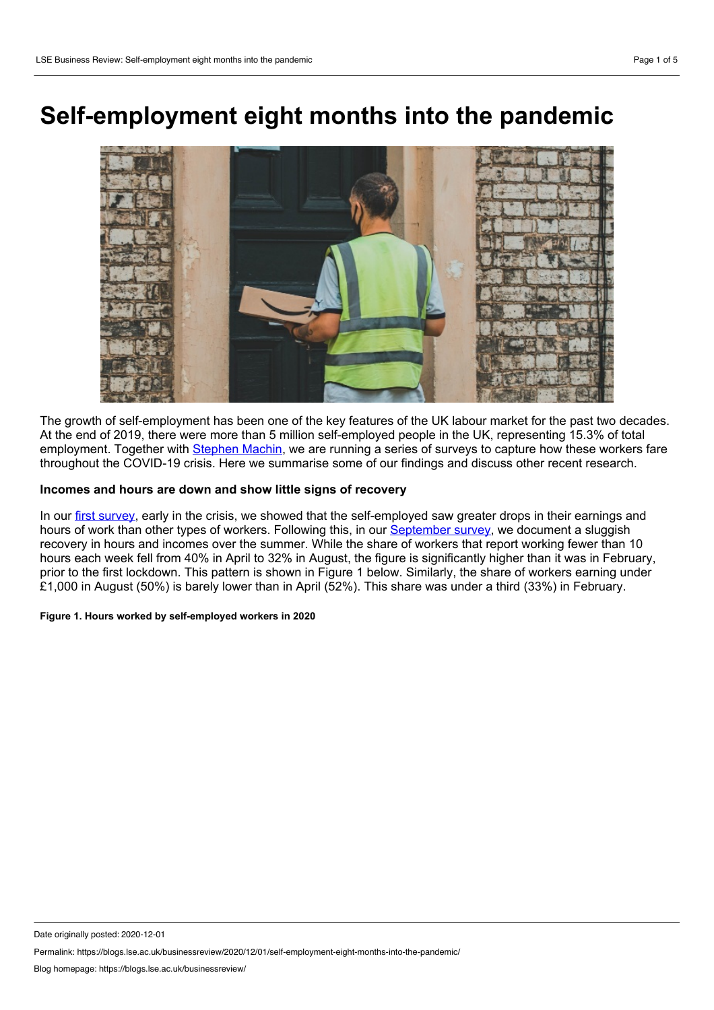# **Self-employment eight months into the pandemic**



The growth of self-employment has been one of the key features of the UK labour market for the past two decades. At the end of 2019, there were more than 5 million self-employed people in the UK, representing 15.3% of total employment. Together with [Stephen](https://www.lse.ac.uk/economics/people/faculty/stephen-machin) Machin, we are running a series of surveys to capture how these workers fare throughout the COVID-19 crisis. Here we summarise some of our findings and discuss other recent research.

## **Incomes and hours are down and show little signs of recovery**

In our first [survey,](http://eprints.lse.ac.uk/104550/1/Blundell_self_employment_in_the_covid_19_crisis_a_cep_covid_19_analysis_published.pdf) early in the crisis, we showed that the self-employed saw greater drops in their earnings and hours of work than other types of workers. Following this, in our [September](http://cep.lse.ac.uk/pubs/download/cepcovid-19-012.pdf) survey, we document a sluggish recovery in hours and incomes over the summer. While the share of workers that report working fewer than 10 hours each week fell from 40% in April to 32% in August, the figure is significantly higher than it was in February, prior to the first lockdown. This pattern is shown in Figure 1 below. Similarly, the share of workers earning under £1,000 in August (50%) is barely lower than in April (52%). This share was under a third (33%) in February.

### **Figure 1. Hours worked by self-employed workers in 2020**

Date originally posted: 2020-12-01

Permalink: https://blogs.lse.ac.uk/businessreview/2020/12/01/self-employment-eight-months-into-the-pandemic/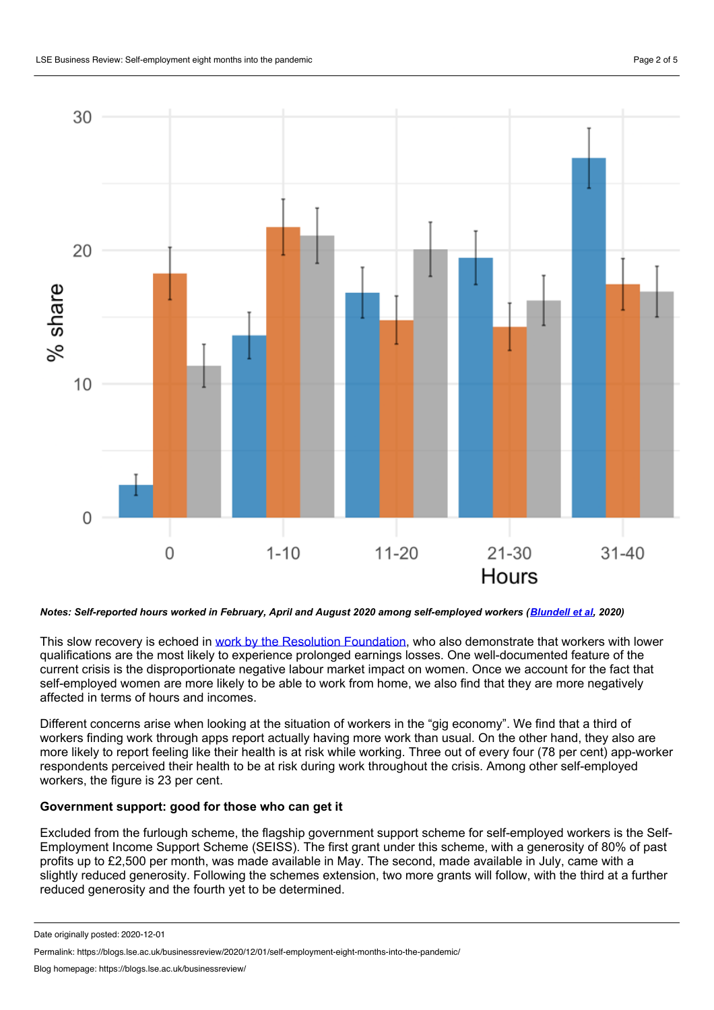

## Notes: Self-reported hours worked in February, April and August 2020 among self-employed workers ([Blundell](http://cep.lse.ac.uk/pubs/download/cepcovid-19-012.pdf) et al. 2020)

This slow recovery is echoed in work by the Resolution [Foundation](https://www.resolutionfoundation.org/app/uploads/2020/10/Jobs-jobs-jobs.pdf), who also demonstrate that workers with lower qualifications are the most likely to experience prolonged earnings losses. One well-documented feature of the current crisis is the disproportionate negative labour market impact on women. Once we account for the fact that self-employed women are more likely to be able to work from home, we also find that they are more negatively affected in terms of hours and incomes.

Different concerns arise when looking at the situation of workers in the "gig economy". We find that a third of workers finding work through apps report actually having more work than usual. On the other hand, they also are more likely to report feeling like their health is at risk while working. Three out of every four (78 per cent) app-worker respondents perceived their health to be at risk during work throughout the crisis. Among other self-employed workers, the figure is 23 per cent.

# **Government support: good for those who can get it**

Excluded from the furlough scheme, the flagship government support scheme for self-employed workers is the Self- Employment Income Support Scheme (SEISS). The first grant under this scheme, with a generosity of 80% of past profits up to £2,500 per month, was made available in May. The second, made available in July, came with a slightly reduced generosity. Following the schemes extension, two more grants will follow, with the third at a further reduced generosity and the fourth yet to be determined.

Date originally posted: 2020-12-01

Permalink: https://blogs.lse.ac.uk/businessreview/2020/12/01/self-employment-eight-months-into-the-pandemic/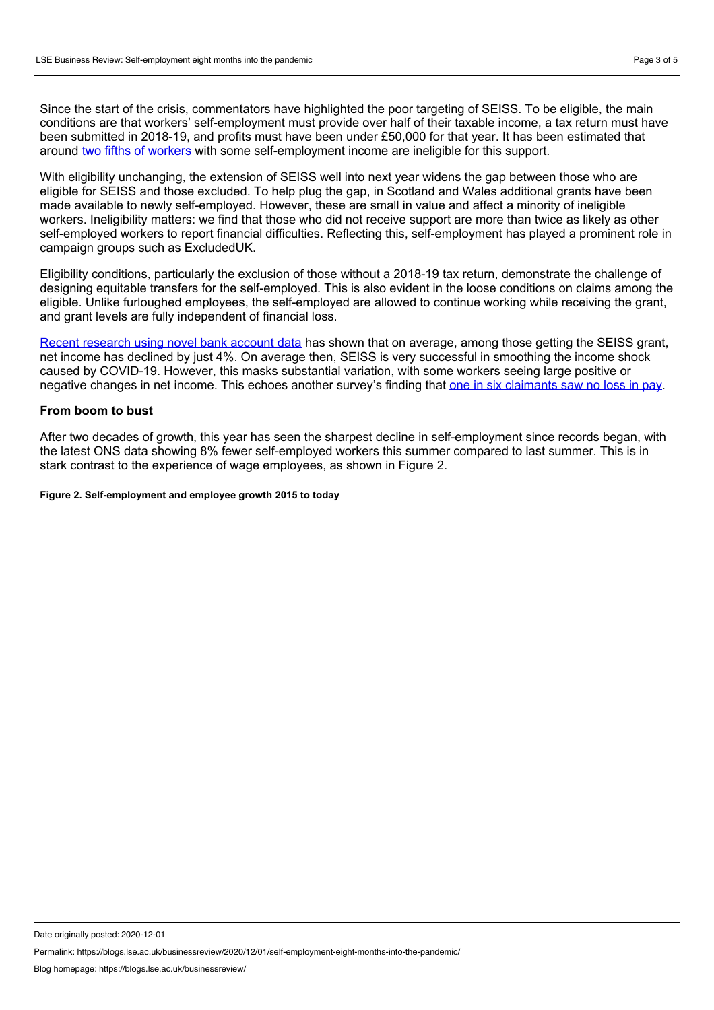Since the start of the crisis, commentators have highlighted the poor targeting of SEISS. To be eligible, the main conditions are that workers' self-employment must provide over half of their taxable income, a tax return must have been submitted in 2018-19, and profits must have been under £50,000 for that year. It has been estimated that around two fifths of [workers](https://www.ifs.org.uk/uploads/publications/bns/BN277-Income-protection-for-the-self-employed-and-employees-during-the-coronavirus-crisis.pdf) with some self-employment income are ineligible for this support.

With eligibility unchanging, the extension of SEISS well into next year widens the gap between those who are eligible for SEISS and those excluded. To help plug the gap, in Scotland and Wales additional grants have been made available to newly self-employed. However, these are small in value and affect a minority of ineligible workers. Ineligibility matters: we find that those who did not receive support are more than twice as likely as other self-employed workers to report financial difficulties. Reflecting this, self-employment has played a prominent role in campaign groups such as ExcludedUK.

Eligibility conditions, particularly the exclusion of those without a 2018-19 tax return, demonstrate the challenge of designing equitable transfers for the self-employed. This is also evident in the loose conditions on claims among the eligible. Unlike furloughed employees, the self-employed are allowed to continue working while receiving the grant, and grant levels are fully independent of financial loss.

Recent [research](https://www.ifs.org.uk/publications/15002) using novel bank account data has shown that on average, among those getting the SEISS grant, net income has declined by just 4%. On average then, SEISS is very successful in smoothing the income shock caused by COVID-19. However, this masks substantial variation, with some workers seeing large positive or negative changes in net income. This echoes another survey's finding that one in six [claimants](https://www.resolutionfoundation.org/app/uploads/2020/10/Jobs-jobs-jobs.pdf) saw no loss in pay.

## **From boom to bust**

After two decades of growth, this year has seen the sharpest decline in self-employment since records began, with the latest ONS data showing 8% fewer self-employed workers this summer compared to last summer. This is in stark contrast to the experience of wage employees, as shown in Figure 2.

**Figure 2. Self-employment and employee growth 2015 to today**

Date originally posted: 2020-12-01

Permalink: https://blogs.lse.ac.uk/businessreview/2020/12/01/self-employment-eight-months-into-the-pandemic/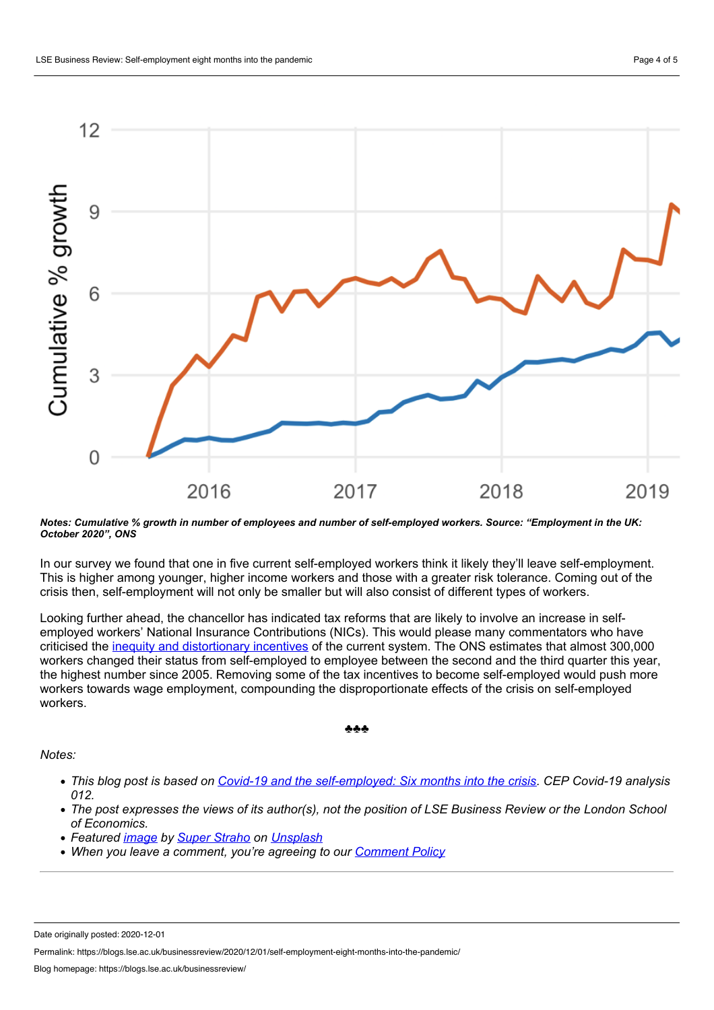

#### Notes: Cumulative % growth in number of employees and number of self-employed workers. Source: "Employment in the UK: *October 2020", ONS*

In our survey we found that one in five current self-employed workers think it likely they'll leave self-employment. This is higher among younger, higher income workers and those with a greater risk tolerance. Coming out of the crisis then, self-employment will not only be smaller but will also consist of different types of workers.

Looking further ahead, the chancellor has indicated tax reforms that are likely to involve an increase in self employed workers' National Insurance Contributions (NICs). This would please many commentators who have criticised the inequity and [distortionary](https://www.ifs.org.uk/uploads/TLRC%20Tax%20and%20employment%20status.pdf) incentives of the current system. The ONS estimates that almost 300,000 workers changed their status from self-employed to employee between the second and the third quarter this year, the highest number since 2005. Removing some of the tax incentives to become self-employed would push more workers towards wage employment, compounding the disproportionate effects of the crisis on self-employed workers.

#### ♣♣♣

*Notes:*

- This blog post is based on Covid-19 and the [self-employed:](http://cep.lse.ac.uk/_new/publications/abstract.asp?index=7546) Six months into the crisis. CEP Covid-19 analysis *012.*
- The post expresses the views of its author(s), not the position of LSE Business Review or the London School *of Economics.*
- *Featured [image](https://unsplash.com/photos/DZe1jK6pk5c) by Super [Straho](https://unsplash.com/@superstraho?utm_source=unsplash&utm_medium=referral&utm_content=creditCopyText) on [Unsplash](https://unsplash.com/?utm_source=unsplash&utm_medium=referral&utm_content=creditCopyText)*
- *When you leave a comment, you're agreeing to our [Comment](https://blogs.lse.ac.uk/businessreview/comment-policy/) Policy*

Permalink: https://blogs.lse.ac.uk/businessreview/2020/12/01/self-employment-eight-months-into-the-pandemic/

Date originally posted: 2020-12-01